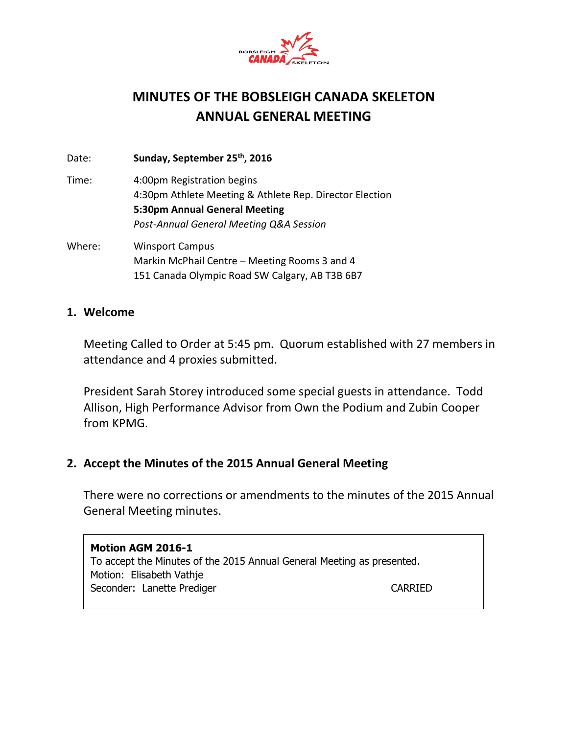

# **MINUTES OF THE BOBSLEIGH CANADA SKELETON ANNUAL GENERAL MEETING**

Date: **Sunday, September 25 th, 2016**

- Time: 4:00pm Registration begins 4:30pm Athlete Meeting & Athlete Rep. Director Election **5:30pm Annual General Meeting** *Post-Annual General Meeting Q&A Session*
- Where: Winsport Campus Markin McPhail Centre – Meeting Rooms 3 and 4 151 Canada Olympic Road SW Calgary, AB T3B 6B7

#### **1. Welcome**

Meeting Called to Order at 5:45 pm. Quorum established with 27 members in attendance and 4 proxies submitted.

President Sarah Storey introduced some special guests in attendance. Todd Allison, High Performance Advisor from Own the Podium and Zubin Cooper from KPMG.

# **2. Accept the Minutes of the 2015 Annual General Meeting**

There were no corrections or amendments to the minutes of the 2015 Annual General Meeting minutes.

#### **Motion AGM 2016-1**

To accept the Minutes of the 2015 Annual General Meeting as presented. Motion: Elisabeth Vathje Seconder: Lanette Prediger CARRIED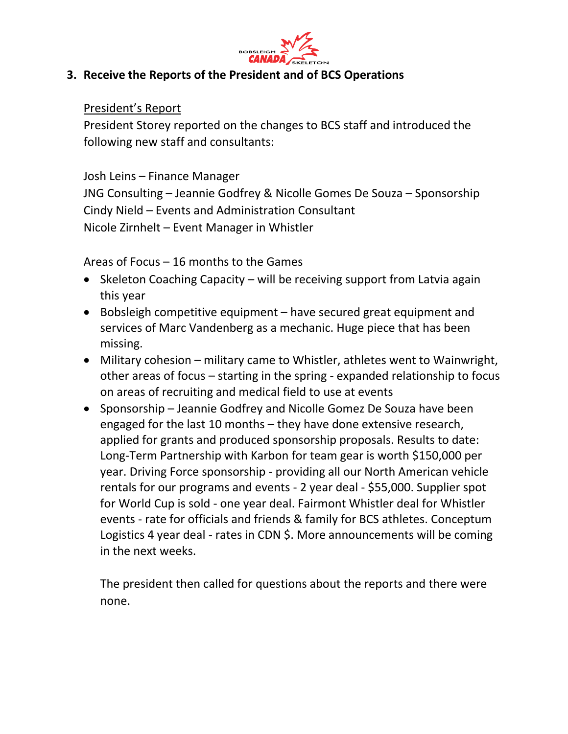

# **3. Receive the Reports of the President and of BCS Operations**

#### President's Report

President Storey reported on the changes to BCS staff and introduced the following new staff and consultants:

# Josh Leins – Finance Manager

JNG Consulting – Jeannie Godfrey & Nicolle Gomes De Souza – Sponsorship Cindy Nield – Events and Administration Consultant Nicole Zirnhelt – Event Manager in Whistler

Areas of Focus – 16 months to the Games

- Skeleton Coaching Capacity will be receiving support from Latvia again this year
- Bobsleigh competitive equipment have secured great equipment and services of Marc Vandenberg as a mechanic. Huge piece that has been missing.
- Military cohesion military came to Whistler, athletes went to Wainwright, other areas of focus – starting in the spring - expanded relationship to focus on areas of recruiting and medical field to use at events
- Sponsorship Jeannie Godfrey and Nicolle Gomez De Souza have been engaged for the last 10 months – they have done extensive research, applied for grants and produced sponsorship proposals. Results to date: Long-Term Partnership with Karbon for team gear is worth \$150,000 per year. Driving Force sponsorship - providing all our North American vehicle rentals for our programs and events - 2 year deal - \$55,000. Supplier spot for World Cup is sold - one year deal. Fairmont Whistler deal for Whistler events - rate for officials and friends & family for BCS athletes. Conceptum Logistics 4 year deal - rates in CDN \$. More announcements will be coming in the next weeks.

The president then called for questions about the reports and there were none.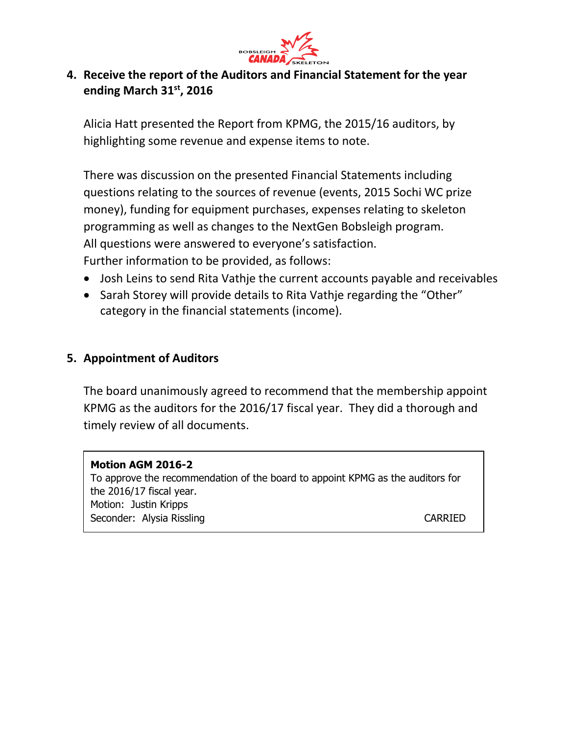

# **4. Receive the report of the Auditors and Financial Statement for the year ending March 31st, 2016**

Alicia Hatt presented the Report from KPMG, the 2015/16 auditors, by highlighting some revenue and expense items to note.

There was discussion on the presented Financial Statements including questions relating to the sources of revenue (events, 2015 Sochi WC prize money), funding for equipment purchases, expenses relating to skeleton programming as well as changes to the NextGen Bobsleigh program. All questions were answered to everyone's satisfaction. Further information to be provided, as follows:

- Josh Leins to send Rita Vathje the current accounts payable and receivables
- Sarah Storey will provide details to Rita Vathje regarding the "Other" category in the financial statements (income).

# **5. Appointment of Auditors**

The board unanimously agreed to recommend that the membership appoint KPMG as the auditors for the 2016/17 fiscal year. They did a thorough and timely review of all documents.

#### **Motion AGM 2016-2**

To approve the recommendation of the board to appoint KPMG as the auditors for the 2016/17 fiscal year. Motion: Justin Kripps Seconder: Alysia Rissling CARRIED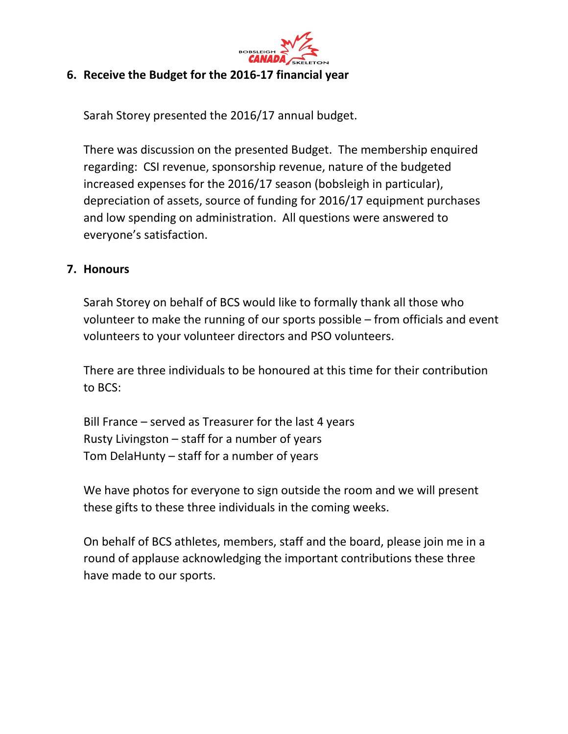

#### **6. Receive the Budget for the 2016-17 financial year**

Sarah Storey presented the 2016/17 annual budget.

There was discussion on the presented Budget. The membership enquired regarding: CSI revenue, sponsorship revenue, nature of the budgeted increased expenses for the 2016/17 season (bobsleigh in particular), depreciation of assets, source of funding for 2016/17 equipment purchases and low spending on administration. All questions were answered to everyone's satisfaction.

#### **7. Honours**

Sarah Storey on behalf of BCS would like to formally thank all those who volunteer to make the running of our sports possible – from officials and event volunteers to your volunteer directors and PSO volunteers.

There are three individuals to be honoured at this time for their contribution to BCS:

Bill France – served as Treasurer for the last 4 years Rusty Livingston – staff for a number of years Tom DelaHunty – staff for a number of years

We have photos for everyone to sign outside the room and we will present these gifts to these three individuals in the coming weeks.

On behalf of BCS athletes, members, staff and the board, please join me in a round of applause acknowledging the important contributions these three have made to our sports.